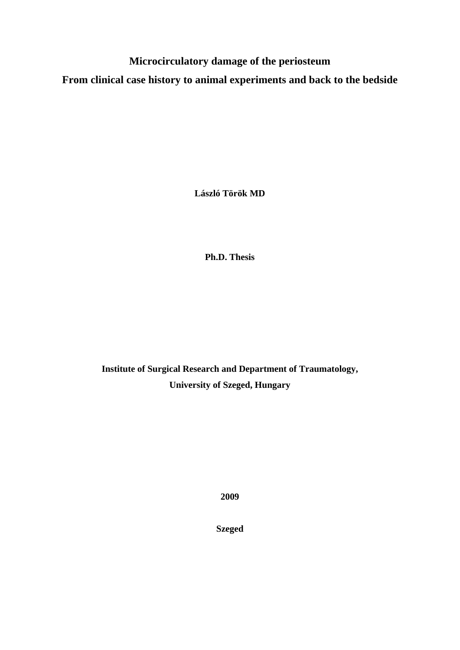**Microcirculatory damage of the periosteum** 

**From clinical case history to animal experiments and back to the bedside** 

**László Török MD** 

**Ph.D. Thesis** 

**Institute of Surgical Research and Department of Traumatology, University of Szeged, Hungary** 

**2009** 

**Szeged**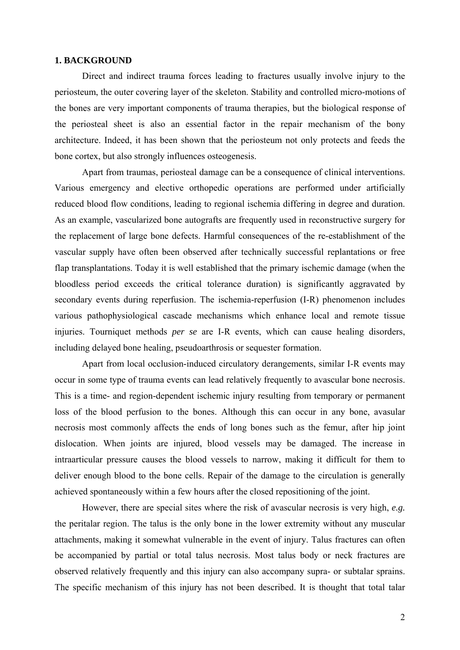#### **1. BACKGROUND**

Direct and indirect trauma forces leading to fractures usually involve injury to the periosteum, the outer covering layer of the skeleton. Stability and controlled micro-motions of the bones are very important components of trauma therapies, but the biological response of the periosteal sheet is also an essential factor in the repair mechanism of the bony architecture. Indeed, it has been shown that the periosteum not only protects and feeds the bone cortex, but also strongly influences osteogenesis.

Apart from traumas, periosteal damage can be a consequence of clinical interventions. Various emergency and elective orthopedic operations are performed under artificially reduced blood flow conditions, leading to regional ischemia differing in degree and duration. As an example, vascularized bone autografts are frequently used in reconstructive surgery for the replacement of large bone defects. Harmful consequences of the re-establishment of the vascular supply have often been observed after technically successful replantations or free flap transplantations. Today it is well established that the primary ischemic damage (when the bloodless period exceeds the critical tolerance duration) is significantly aggravated by secondary events during reperfusion. The ischemia-reperfusion (I-R) phenomenon includes various pathophysiological cascade mechanisms which enhance local and remote tissue injuries. Tourniquet methods *per se* are I-R events, which can cause healing disorders, including delayed bone healing, pseudoarthrosis or sequester formation.

Apart from local occlusion-induced circulatory derangements, similar I-R events may occur in some type of trauma events can lead relatively frequently to avascular bone necrosis. This is a time- and region-dependent ischemic injury resulting from temporary or permanent loss of the blood perfusion to the bones. Although this can occur in any bone, avasular necrosis most commonly affects the ends of long bones such as the femur, after hip joint dislocation. When joints are injured, blood vessels may be damaged. The increase in intraarticular pressure causes the blood vessels to narrow, making it difficult for them to deliver enough blood to the bone cells. Repair of the damage to the circulation is generally achieved spontaneously within a few hours after the closed repositioning of the joint.

However, there are special sites where the risk of avascular necrosis is very high, *e.g.* the peritalar region. The talus is the only bone in the lower extremity without any muscular attachments, making it somewhat vulnerable in the event of injury. Talus fractures can often be accompanied by partial or total talus necrosis. Most talus body or neck fractures are observed relatively frequently and this injury can also accompany supra- or subtalar sprains. The specific mechanism of this injury has not been described. It is thought that total talar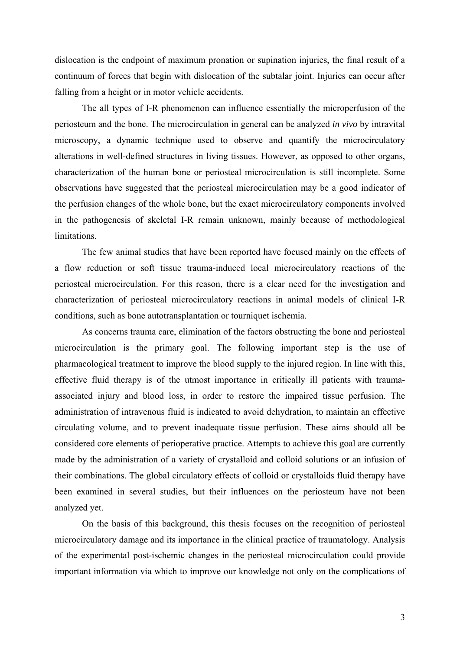dislocation is the endpoint of maximum pronation or supination injuries, the final result of a continuum of forces that begin with dislocation of the subtalar joint. Injuries can occur after falling from a height or in motor vehicle accidents.

The all types of I-R phenomenon can influence essentially the microperfusion of the periosteum and the bone. The microcirculation in general can be analyzed *in vivo* by intravital microscopy, a dynamic technique used to observe and quantify the microcirculatory alterations in well-defined structures in living tissues. However, as opposed to other organs, characterization of the human bone or periosteal microcirculation is still incomplete. Some observations have suggested that the periosteal microcirculation may be a good indicator of the perfusion changes of the whole bone, but the exact microcirculatory components involved in the pathogenesis of skeletal I-R remain unknown, mainly because of methodological limitations.

The few animal studies that have been reported have focused mainly on the effects of a flow reduction or soft tissue trauma-induced local microcirculatory reactions of the periosteal microcirculation. For this reason, there is a clear need for the investigation and characterization of periosteal microcirculatory reactions in animal models of clinical I-R conditions, such as bone autotransplantation or tourniquet ischemia.

As concerns trauma care, elimination of the factors obstructing the bone and periosteal microcirculation is the primary goal. The following important step is the use of pharmacological treatment to improve the blood supply to the injured region. In line with this, effective fluid therapy is of the utmost importance in critically ill patients with traumaassociated injury and blood loss, in order to restore the impaired tissue perfusion. The administration of intravenous fluid is indicated to avoid dehydration, to maintain an effective circulating volume, and to prevent inadequate tissue perfusion. These aims should all be considered core elements of perioperative practice. Attempts to achieve this goal are currently made by the administration of a variety of crystalloid and colloid solutions or an infusion of their combinations. The global circulatory effects of colloid or crystalloids fluid therapy have been examined in several studies, but their influences on the periosteum have not been analyzed yet.

On the basis of this background, this thesis focuses on the recognition of periosteal microcirculatory damage and its importance in the clinical practice of traumatology. Analysis of the experimental post-ischemic changes in the periosteal microcirculation could provide important information via which to improve our knowledge not only on the complications of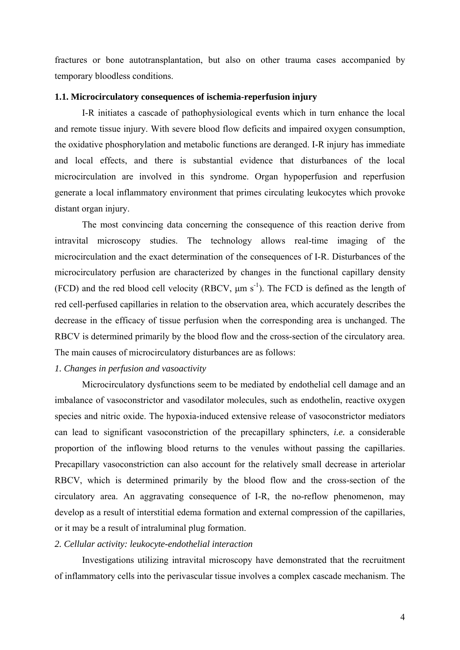fractures or bone autotransplantation, but also on other trauma cases accompanied by temporary bloodless conditions.

### **1.1. Microcirculatory consequences of ischemia-reperfusion injury**

I-R initiates a cascade of pathophysiological events which in turn enhance the local and remote tissue injury. With severe blood flow deficits and impaired oxygen consumption, the oxidative phosphorylation and metabolic functions are deranged. I-R injury has immediate and local effects, and there is substantial evidence that disturbances of the local microcirculation are involved in this syndrome. Organ hypoperfusion and reperfusion generate a local inflammatory environment that primes circulating leukocytes which provoke distant organ injury.

The most convincing data concerning the consequence of this reaction derive from intravital microscopy studies. The technology allows real-time imaging of the microcirculation and the exact determination of the consequences of I-R. Disturbances of the microcirculatory perfusion are characterized by changes in the functional capillary density (FCD) and the red blood cell velocity (RBCV,  $\mu$ m s<sup>-1</sup>). The FCD is defined as the length of red cell-perfused capillaries in relation to the observation area, which accurately describes the decrease in the efficacy of tissue perfusion when the corresponding area is unchanged. The RBCV is determined primarily by the blood flow and the cross-section of the circulatory area. The main causes of microcirculatory disturbances are as follows:

#### *1. Changes in perfusion and vasoactivity*

Microcirculatory dysfunctions seem to be mediated by endothelial cell damage and an imbalance of vasoconstrictor and vasodilator molecules, such as endothelin, reactive oxygen species and nitric oxide. The hypoxia-induced extensive release of vasoconstrictor mediators can lead to significant vasoconstriction of the precapillary sphincters, *i.e.* a considerable proportion of the inflowing blood returns to the venules without passing the capillaries. Precapillary vasoconstriction can also account for the relatively small decrease in arteriolar RBCV, which is determined primarily by the blood flow and the cross-section of the circulatory area. An aggravating consequence of I-R, the no-reflow phenomenon, may develop as a result of interstitial edema formation and external compression of the capillaries, or it may be a result of intraluminal plug formation.

## *2. Cellular activity: leukocyte-endothelial interaction*

Investigations utilizing intravital microscopy have demonstrated that the recruitment of inflammatory cells into the perivascular tissue involves a complex cascade mechanism. The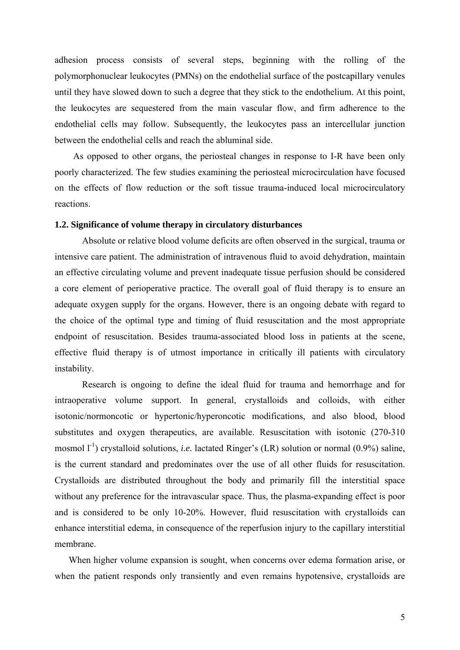adhesion process consists of several steps, beginning with the rolling of the polymorphonuclear leukocytes (PMNs) on the endothelial surface of the postcapillary venules until they have slowed down to such a degree that they stick to the endothelium. At this point, the leukocytes are sequestered from the main vascular flow, and firm adherence to the endothelial cells may follow. Subsequently, the leukocytes pass an intercellular junction between the endothelial cells and reach the abluminal side.

As opposed to other organs, the periosteal changes in response to I-R have been only poorly characterized. The few studies examining the periosteal microcirculation have focused on the effects of flow reduction or the soft tissue trauma-induced local microcirculatory reactions.

## **1.2. Significance of volume therapy in circulatory disturbances**

Absolute or relative blood volume deficits are often observed in the surgical, trauma or intensive care patient. The administration of intravenous fluid to avoid dehydration, maintain an effective circulating volume and prevent inadequate tissue perfusion should be considered a core element of perioperative practice. The overall goal of fluid therapy is to ensure an adequate oxygen supply for the organs. However, there is an ongoing debate with regard to the choice of the optimal type and timing of fluid resuscitation and the most appropriate endpoint of resuscitation. Besides trauma-associated blood loss in patients at the scene, effective fluid therapy is of utmost importance in critically ill patients with circulatory instability.

Research is ongoing to define the ideal fluid for trauma and hemorrhage and for intraoperative volume support. In general, crystalloids and colloids, with either isotonic/normoncotic or hypertonic/hyperoncotic modifications, and also blood, blood substitutes and oxygen therapeutics, are available. Resuscitation with isotonic (270-310 mosmol  $1^{-1}$ ) crystalloid solutions, *i.e.* lactated Ringer's (LR) solution or normal (0.9%) saline, is the current standard and predominates over the use of all other fluids for resuscitation. Crystalloids are distributed throughout the body and primarily fill the interstitial space without any preference for the intravascular space. Thus, the plasma-expanding effect is poor and is considered to be only 10-20%. However, fluid resuscitation with crystalloids can enhance interstitial edema, in consequence of the reperfusion injury to the capillary interstitial membrane.

When higher volume expansion is sought, when concerns over edema formation arise, or when the patient responds only transiently and even remains hypotensive, crystalloids are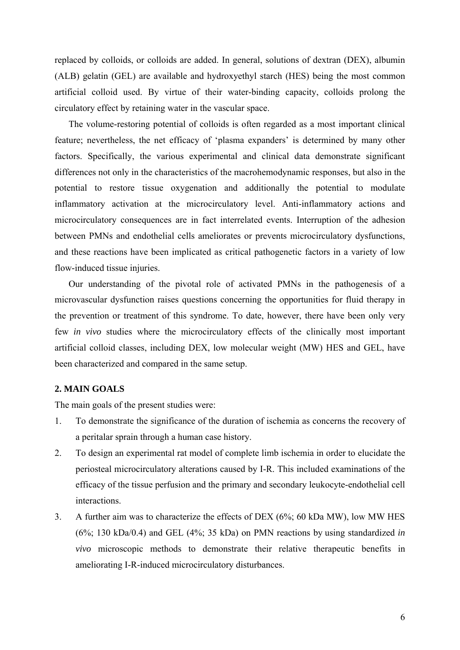replaced by colloids, or colloids are added. In general, solutions of dextran (DEX), albumin (ALB) gelatin (GEL) are available and hydroxyethyl starch (HES) being the most common artificial colloid used. By virtue of their water-binding capacity, colloids prolong the circulatory effect by retaining water in the vascular space.

The volume-restoring potential of colloids is often regarded as a most important clinical feature; nevertheless, the net efficacy of 'plasma expanders' is determined by many other factors. Specifically, the various experimental and clinical data demonstrate significant differences not only in the characteristics of the macrohemodynamic responses, but also in the potential to restore tissue oxygenation and additionally the potential to modulate inflammatory activation at the microcirculatory level. Anti-inflammatory actions and microcirculatory consequences are in fact interrelated events. Interruption of the adhesion between PMNs and endothelial cells ameliorates or prevents microcirculatory dysfunctions, and these reactions have been implicated as critical pathogenetic factors in a variety of low flow-induced tissue injuries.

Our understanding of the pivotal role of activated PMNs in the pathogenesis of a microvascular dysfunction raises questions concerning the opportunities for fluid therapy in the prevention or treatment of this syndrome. To date, however, there have been only very few *in vivo* studies where the microcirculatory effects of the clinically most important artificial colloid classes, including DEX, low molecular weight (MW) HES and GEL, have been characterized and compared in the same setup.

## **2. MAIN GOALS**

The main goals of the present studies were:

- 1. To demonstrate the significance of the duration of ischemia as concerns the recovery of a peritalar sprain through a human case history.
- 2. To design an experimental rat model of complete limb ischemia in order to elucidate the periosteal microcirculatory alterations caused by I-R. This included examinations of the efficacy of the tissue perfusion and the primary and secondary leukocyte-endothelial cell interactions.
- 3. A further aim was to characterize the effects of DEX (6%; 60 kDa MW), low MW HES (6%; 130 kDa/0.4) and GEL (4%; 35 kDa) on PMN reactions by using standardized *in vivo* microscopic methods to demonstrate their relative therapeutic benefits in ameliorating I-R-induced microcirculatory disturbances.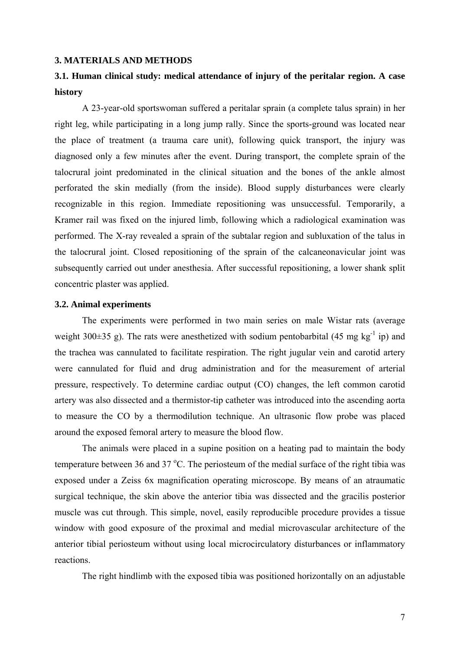#### **3. MATERIALS AND METHODS**

# **3.1. Human clinical study: medical attendance of injury of the peritalar region. A case history**

A 23-year-old sportswoman suffered a peritalar sprain (a complete talus sprain) in her right leg, while participating in a long jump rally. Since the sports-ground was located near the place of treatment (a trauma care unit), following quick transport, the injury was diagnosed only a few minutes after the event. During transport, the complete sprain of the talocrural joint predominated in the clinical situation and the bones of the ankle almost perforated the skin medially (from the inside). Blood supply disturbances were clearly recognizable in this region. Immediate repositioning was unsuccessful. Temporarily, a Kramer rail was fixed on the injured limb, following which a radiological examination was performed. The X-ray revealed a sprain of the subtalar region and subluxation of the talus in the talocrural joint. Closed repositioning of the sprain of the calcaneonavicular joint was subsequently carried out under anesthesia. After successful repositioning, a lower shank split concentric plaster was applied.

## **3.2. Animal experiments**

The experiments were performed in two main series on male Wistar rats (average weight 300 $\pm$ 35 g). The rats were anesthetized with sodium pentobarbital (45 mg kg<sup>-1</sup> ip) and the trachea was cannulated to facilitate respiration. The right jugular vein and carotid artery were cannulated for fluid and drug administration and for the measurement of arterial pressure, respectively. To determine cardiac output (CO) changes, the left common carotid artery was also dissected and a thermistor-tip catheter was introduced into the ascending aorta to measure the CO by a thermodilution technique. An ultrasonic flow probe was placed around the exposed femoral artery to measure the blood flow.

The animals were placed in a supine position on a heating pad to maintain the body temperature between 36 and 37  $^{\circ}$ C. The periosteum of the medial surface of the right tibia was exposed under a Zeiss 6x magnification operating microscope. By means of an atraumatic surgical technique, the skin above the anterior tibia was dissected and the gracilis posterior muscle was cut through. This simple, novel, easily reproducible procedure provides a tissue window with good exposure of the proximal and medial microvascular architecture of the anterior tibial periosteum without using local microcirculatory disturbances or inflammatory reactions.

The right hindlimb with the exposed tibia was positioned horizontally on an adjustable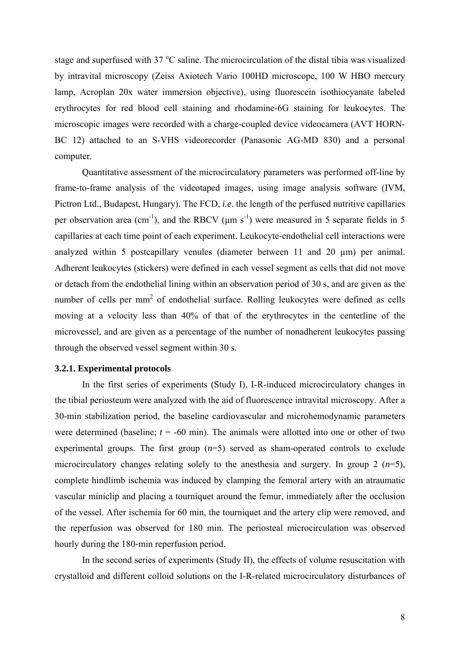stage and superfused with 37 °C saline. The microcirculation of the distal tibia was visualized by intravital microscopy (Zeiss Axiotech Vario 100HD microscope, 100 W HBO mercury lamp, Acroplan 20x water immersion objective), using fluorescein isothiocyanate labeled erythrocytes for red blood cell staining and rhodamine-6G staining for leukocytes. The microscopic images were recorded with a charge-coupled device videocamera (AVT HORN-BC 12) attached to an S-VHS videorecorder (Panasonic AG-MD 830) and a personal computer.

Quantitative assessment of the microcirculatory parameters was performed off-line by frame-to-frame analysis of the videotaped images, using image analysis software (IVM, Pictron Ltd., Budapest, Hungary). The FCD, *i.e*. the length of the perfused nutritive capillaries per observation area (cm<sup>-1</sup>), and the RBCV ( $\mu$ m s<sup>-1</sup>) were measured in 5 separate fields in 5 capillaries at each time point of each experiment. Leukocyte-endothelial cell interactions were analyzed within 5 postcapillary venules (diameter between 11 and 20 µm) per animal. Adherent leukocytes (stickers) were defined in each vessel segment as cells that did not move or detach from the endothelial lining within an observation period of 30 s, and are given as the number of cells per  $mm<sup>2</sup>$  of endothelial surface. Rolling leukocytes were defined as cells moving at a velocity less than 40% of that of the erythrocytes in the centerline of the microvessel, and are given as a percentage of the number of nonadherent leukocytes passing through the observed vessel segment within 30 s.

#### **3.2.1. Experimental protocols**

In the first series of experiments (Study I), I-R-induced microcirculatory changes in the tibial periosteum were analyzed with the aid of fluorescence intravital microscopy. After a 30-min stabilization period, the baseline cardiovascular and microhemodynamic parameters were determined (baseline;  $t = -60$  min). The animals were allotted into one or other of two experimental groups. The first group  $(n=5)$  served as sham-operated controls to exclude microcirculatory changes relating solely to the anesthesia and surgery. In group 2  $(n=5)$ , complete hindlimb ischemia was induced by clamping the femoral artery with an atraumatic vascular miniclip and placing a tourniquet around the femur, immediately after the occlusion of the vessel. After ischemia for 60 min, the tourniquet and the artery clip were removed, and the reperfusion was observed for 180 min. The periosteal microcirculation was observed hourly during the 180-min reperfusion period.

In the second series of experiments (Study II), the effects of volume resuscitation with crystalloid and different colloid solutions on the I-R-related microcirculatory disturbances of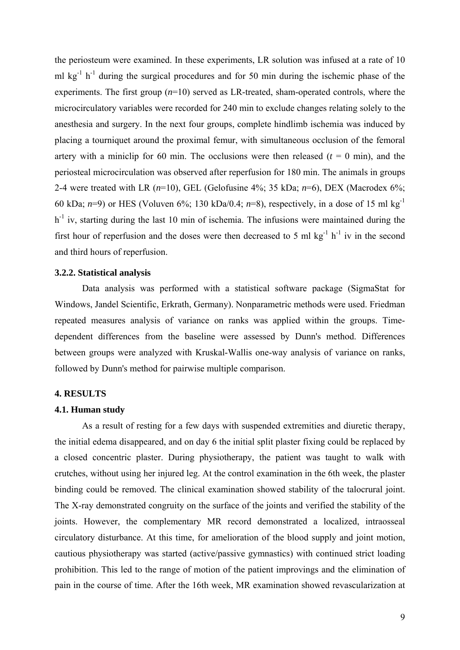the periosteum were examined. In these experiments, LR solution was infused at a rate of 10 ml kg<sup>-1</sup> h<sup>-1</sup> during the surgical procedures and for 50 min during the ischemic phase of the experiments. The first group (*n*=10) served as LR-treated, sham-operated controls, where the microcirculatory variables were recorded for 240 min to exclude changes relating solely to the anesthesia and surgery. In the next four groups, complete hindlimb ischemia was induced by placing a tourniquet around the proximal femur, with simultaneous occlusion of the femoral artery with a miniclip for 60 min. The occlusions were then released  $(t = 0 \text{ min})$ , and the periosteal microcirculation was observed after reperfusion for 180 min. The animals in groups 2-4 were treated with LR (*n*=10), GEL (Gelofusine 4%; 35 kDa; *n*=6), DEX (Macrodex 6%; 60 kDa;  $n=9$ ) or HES (Voluven 6%; 130 kDa/0.4;  $n=8$ ), respectively, in a dose of 15 ml kg<sup>-1</sup>  $h^{-1}$  iv, starting during the last 10 min of ischemia. The infusions were maintained during the first hour of reperfusion and the doses were then decreased to 5 ml  $kg^{-1} h^{-1}$  iv in the second and third hours of reperfusion.

#### **3.2.2. Statistical analysis**

Data analysis was performed with a statistical software package (SigmaStat for Windows, Jandel Scientific, Erkrath, Germany). Nonparametric methods were used. Friedman repeated measures analysis of variance on ranks was applied within the groups. Timedependent differences from the baseline were assessed by Dunn's method. Differences between groups were analyzed with Kruskal-Wallis one-way analysis of variance on ranks, followed by Dunn's method for pairwise multiple comparison.

## **4. RESULTS**

## **4.1. Human study**

As a result of resting for a few days with suspended extremities and diuretic therapy, the initial edema disappeared, and on day 6 the initial split plaster fixing could be replaced by a closed concentric plaster. During physiotherapy, the patient was taught to walk with crutches, without using her injured leg. At the control examination in the 6th week, the plaster binding could be removed. The clinical examination showed stability of the talocrural joint. The X-ray demonstrated congruity on the surface of the joints and verified the stability of the joints. However, the complementary MR record demonstrated a localized, intraosseal circulatory disturbance. At this time, for amelioration of the blood supply and joint motion, cautious physiotherapy was started (active/passive gymnastics) with continued strict loading prohibition. This led to the range of motion of the patient improvings and the elimination of pain in the course of time. After the 16th week, MR examination showed revascularization at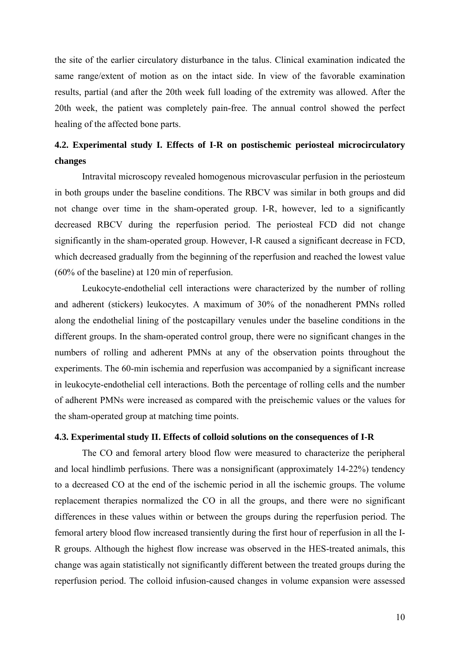the site of the earlier circulatory disturbance in the talus. Clinical examination indicated the same range/extent of motion as on the intact side. In view of the favorable examination results, partial (and after the 20th week full loading of the extremity was allowed. After the 20th week, the patient was completely pain-free. The annual control showed the perfect healing of the affected bone parts.

# **4.2. Experimental study I. Effects of I-R on postischemic periosteal microcirculatory changes**

Intravital microscopy revealed homogenous microvascular perfusion in the periosteum in both groups under the baseline conditions. The RBCV was similar in both groups and did not change over time in the sham-operated group. I-R, however, led to a significantly decreased RBCV during the reperfusion period. The periosteal FCD did not change significantly in the sham-operated group. However, I-R caused a significant decrease in FCD, which decreased gradually from the beginning of the reperfusion and reached the lowest value (60% of the baseline) at 120 min of reperfusion.

Leukocyte-endothelial cell interactions were characterized by the number of rolling and adherent (stickers) leukocytes. A maximum of 30% of the nonadherent PMNs rolled along the endothelial lining of the postcapillary venules under the baseline conditions in the different groups. In the sham-operated control group, there were no significant changes in the numbers of rolling and adherent PMNs at any of the observation points throughout the experiments. The 60-min ischemia and reperfusion was accompanied by a significant increase in leukocyte-endothelial cell interactions. Both the percentage of rolling cells and the number of adherent PMNs were increased as compared with the preischemic values or the values for the sham-operated group at matching time points.

#### **4.3. Experimental study II. Effects of colloid solutions on the consequences of I-R**

The CO and femoral artery blood flow were measured to characterize the peripheral and local hindlimb perfusions. There was a nonsignificant (approximately 14-22%) tendency to a decreased CO at the end of the ischemic period in all the ischemic groups. The volume replacement therapies normalized the CO in all the groups, and there were no significant differences in these values within or between the groups during the reperfusion period. The femoral artery blood flow increased transiently during the first hour of reperfusion in all the I-R groups. Although the highest flow increase was observed in the HES-treated animals, this change was again statistically not significantly different between the treated groups during the reperfusion period. The colloid infusion-caused changes in volume expansion were assessed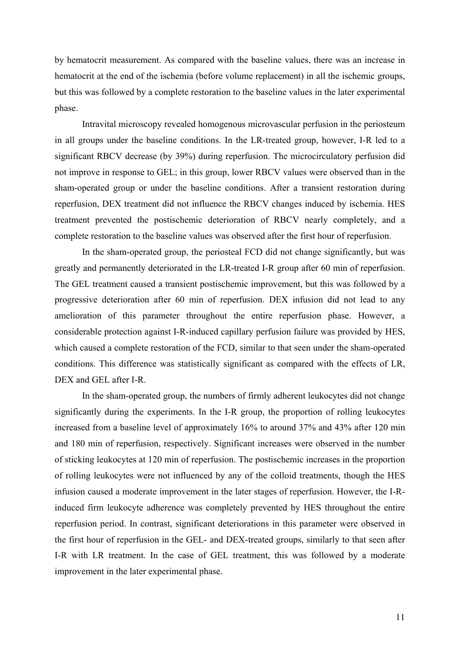by hematocrit measurement. As compared with the baseline values, there was an increase in hematocrit at the end of the ischemia (before volume replacement) in all the ischemic groups, but this was followed by a complete restoration to the baseline values in the later experimental phase.

Intravital microscopy revealed homogenous microvascular perfusion in the periosteum in all groups under the baseline conditions. In the LR-treated group, however, I-R led to a significant RBCV decrease (by 39%) during reperfusion. The microcirculatory perfusion did not improve in response to GEL; in this group, lower RBCV values were observed than in the sham-operated group or under the baseline conditions. After a transient restoration during reperfusion, DEX treatment did not influence the RBCV changes induced by ischemia. HES treatment prevented the postischemic deterioration of RBCV nearly completely, and a complete restoration to the baseline values was observed after the first hour of reperfusion.

In the sham-operated group, the periosteal FCD did not change significantly, but was greatly and permanently deteriorated in the LR-treated I-R group after 60 min of reperfusion. The GEL treatment caused a transient postischemic improvement, but this was followed by a progressive deterioration after 60 min of reperfusion. DEX infusion did not lead to any amelioration of this parameter throughout the entire reperfusion phase. However, a considerable protection against I-R-induced capillary perfusion failure was provided by HES, which caused a complete restoration of the FCD, similar to that seen under the sham-operated conditions. This difference was statistically significant as compared with the effects of LR, DEX and GEL after I-R.

In the sham-operated group, the numbers of firmly adherent leukocytes did not change significantly during the experiments. In the I-R group, the proportion of rolling leukocytes increased from a baseline level of approximately 16% to around 37% and 43% after 120 min and 180 min of reperfusion, respectively. Significant increases were observed in the number of sticking leukocytes at 120 min of reperfusion. The postischemic increases in the proportion of rolling leukocytes were not influenced by any of the colloid treatments, though the HES infusion caused a moderate improvement in the later stages of reperfusion. However, the I-Rinduced firm leukocyte adherence was completely prevented by HES throughout the entire reperfusion period. In contrast, significant deteriorations in this parameter were observed in the first hour of reperfusion in the GEL- and DEX-treated groups, similarly to that seen after I-R with LR treatment. In the case of GEL treatment, this was followed by a moderate improvement in the later experimental phase.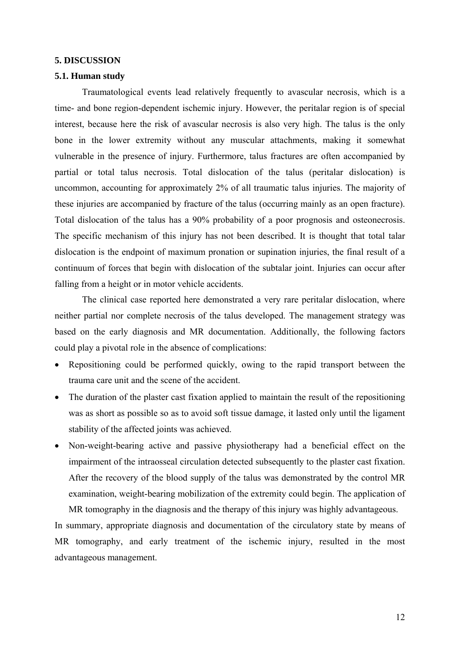#### **5. DISCUSSION**

## **5.1. Human study**

Traumatological events lead relatively frequently to avascular necrosis, which is a time- and bone region-dependent ischemic injury. However, the peritalar region is of special interest, because here the risk of avascular necrosis is also very high. The talus is the only bone in the lower extremity without any muscular attachments, making it somewhat vulnerable in the presence of injury. Furthermore, talus fractures are often accompanied by partial or total talus necrosis. Total dislocation of the talus (peritalar dislocation) is uncommon, accounting for approximately 2% of all traumatic talus injuries. The majority of these injuries are accompanied by fracture of the talus (occurring mainly as an open fracture). Total dislocation of the talus has a 90% probability of a poor prognosis and osteonecrosis. The specific mechanism of this injury has not been described. It is thought that total talar dislocation is the endpoint of maximum pronation or supination injuries, the final result of a continuum of forces that begin with dislocation of the subtalar joint. Injuries can occur after falling from a height or in motor vehicle accidents.

The clinical case reported here demonstrated a very rare peritalar dislocation, where neither partial nor complete necrosis of the talus developed. The management strategy was based on the early diagnosis and MR documentation. Additionally, the following factors could play a pivotal role in the absence of complications:

- Repositioning could be performed quickly, owing to the rapid transport between the trauma care unit and the scene of the accident.
- The duration of the plaster cast fixation applied to maintain the result of the repositioning was as short as possible so as to avoid soft tissue damage, it lasted only until the ligament stability of the affected joints was achieved.
- Non-weight-bearing active and passive physiotherapy had a beneficial effect on the impairment of the intraosseal circulation detected subsequently to the plaster cast fixation. After the recovery of the blood supply of the talus was demonstrated by the control MR examination, weight-bearing mobilization of the extremity could begin. The application of

MR tomography in the diagnosis and the therapy of this injury was highly advantageous. In summary, appropriate diagnosis and documentation of the circulatory state by means of MR tomography, and early treatment of the ischemic injury, resulted in the most advantageous management.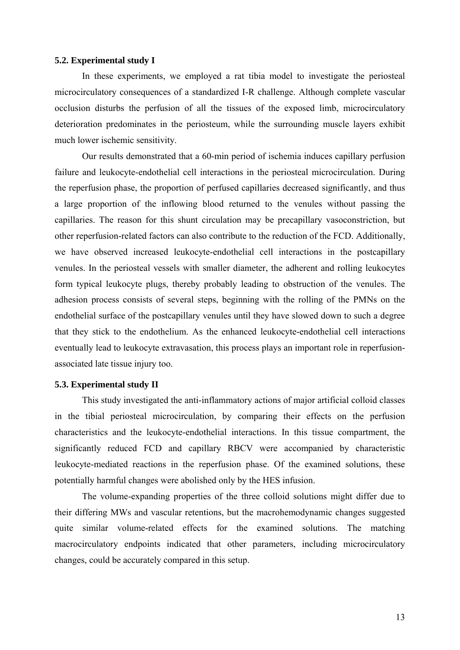#### **5.2. Experimental study I**

In these experiments, we employed a rat tibia model to investigate the periosteal microcirculatory consequences of a standardized I-R challenge. Although complete vascular occlusion disturbs the perfusion of all the tissues of the exposed limb, microcirculatory deterioration predominates in the periosteum, while the surrounding muscle layers exhibit much lower ischemic sensitivity.

Our results demonstrated that a 60-min period of ischemia induces capillary perfusion failure and leukocyte-endothelial cell interactions in the periosteal microcirculation. During the reperfusion phase, the proportion of perfused capillaries decreased significantly, and thus a large proportion of the inflowing blood returned to the venules without passing the capillaries. The reason for this shunt circulation may be precapillary vasoconstriction, but other reperfusion-related factors can also contribute to the reduction of the FCD. Additionally, we have observed increased leukocyte-endothelial cell interactions in the postcapillary venules. In the periosteal vessels with smaller diameter, the adherent and rolling leukocytes form typical leukocyte plugs, thereby probably leading to obstruction of the venules. The adhesion process consists of several steps, beginning with the rolling of the PMNs on the endothelial surface of the postcapillary venules until they have slowed down to such a degree that they stick to the endothelium. As the enhanced leukocyte-endothelial cell interactions eventually lead to leukocyte extravasation, this process plays an important role in reperfusionassociated late tissue injury too.

## **5.3. Experimental study II**

This study investigated the anti-inflammatory actions of major artificial colloid classes in the tibial periosteal microcirculation, by comparing their effects on the perfusion characteristics and the leukocyte-endothelial interactions. In this tissue compartment, the significantly reduced FCD and capillary RBCV were accompanied by characteristic leukocyte-mediated reactions in the reperfusion phase. Of the examined solutions, these potentially harmful changes were abolished only by the HES infusion.

The volume-expanding properties of the three colloid solutions might differ due to their differing MWs and vascular retentions, but the macrohemodynamic changes suggested quite similar volume-related effects for the examined solutions. The matching macrocirculatory endpoints indicated that other parameters, including microcirculatory changes, could be accurately compared in this setup.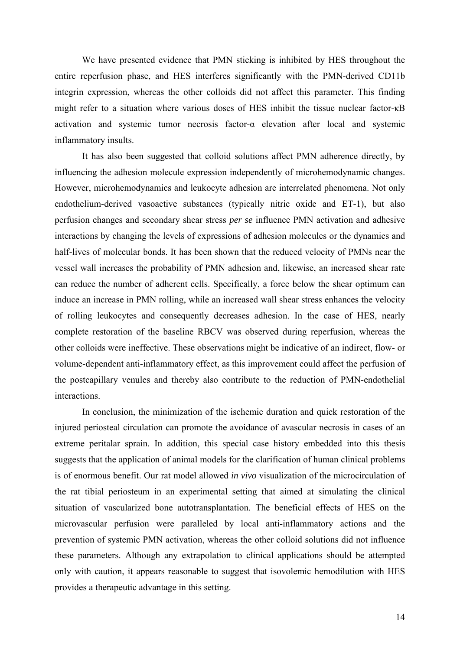We have presented evidence that PMN sticking is inhibited by HES throughout the entire reperfusion phase, and HES interferes significantly with the PMN-derived CD11b integrin expression, whereas the other colloids did not affect this parameter. This finding might refer to a situation where various doses of HES inhibit the tissue nuclear factor-κB activation and systemic tumor necrosis factor-α elevation after local and systemic inflammatory insults.

It has also been suggested that colloid solutions affect PMN adherence directly, by influencing the adhesion molecule expression independently of microhemodynamic changes. However, microhemodynamics and leukocyte adhesion are interrelated phenomena. Not only endothelium-derived vasoactive substances (typically nitric oxide and ET-1), but also perfusion changes and secondary shear stress *per se* influence PMN activation and adhesive interactions by changing the levels of expressions of adhesion molecules or the dynamics and half-lives of molecular bonds. It has been shown that the reduced velocity of PMNs near the vessel wall increases the probability of PMN adhesion and, likewise, an increased shear rate can reduce the number of adherent cells. Specifically, a force below the shear optimum can induce an increase in PMN rolling, while an increased wall shear stress enhances the velocity of rolling leukocytes and consequently decreases adhesion. In the case of HES, nearly complete restoration of the baseline RBCV was observed during reperfusion, whereas the other colloids were ineffective. These observations might be indicative of an indirect, flow- or volume-dependent anti-inflammatory effect, as this improvement could affect the perfusion of the postcapillary venules and thereby also contribute to the reduction of PMN-endothelial interactions.

In conclusion, the minimization of the ischemic duration and quick restoration of the injured periosteal circulation can promote the avoidance of avascular necrosis in cases of an extreme peritalar sprain. In addition, this special case history embedded into this thesis suggests that the application of animal models for the clarification of human clinical problems is of enormous benefit. Our rat model allowed *in vivo* visualization of the microcirculation of the rat tibial periosteum in an experimental setting that aimed at simulating the clinical situation of vascularized bone autotransplantation. The beneficial effects of HES on the microvascular perfusion were paralleled by local anti-inflammatory actions and the prevention of systemic PMN activation, whereas the other colloid solutions did not influence these parameters. Although any extrapolation to clinical applications should be attempted only with caution, it appears reasonable to suggest that isovolemic hemodilution with HES provides a therapeutic advantage in this setting.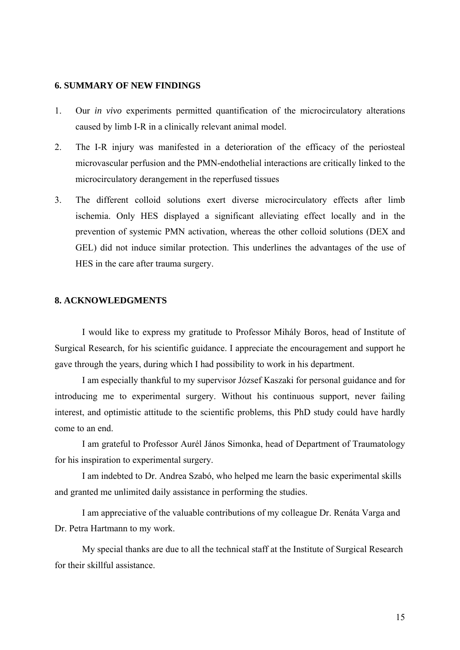#### **6. SUMMARY OF NEW FINDINGS**

- 1. Our *in vivo* experiments permitted quantification of the microcirculatory alterations caused by limb I-R in a clinically relevant animal model.
- 2. The I-R injury was manifested in a deterioration of the efficacy of the periosteal microvascular perfusion and the PMN-endothelial interactions are critically linked to the microcirculatory derangement in the reperfused tissues
- 3. The different colloid solutions exert diverse microcirculatory effects after limb ischemia. Only HES displayed a significant alleviating effect locally and in the prevention of systemic PMN activation, whereas the other colloid solutions (DEX and GEL) did not induce similar protection. This underlines the advantages of the use of HES in the care after trauma surgery.

## **8. ACKNOWLEDGMENTS**

I would like to express my gratitude to Professor Mihály Boros, head of Institute of Surgical Research, for his scientific guidance. I appreciate the encouragement and support he gave through the years, during which I had possibility to work in his department.

I am especially thankful to my supervisor József Kaszaki for personal guidance and for introducing me to experimental surgery. Without his continuous support, never failing interest, and optimistic attitude to the scientific problems, this PhD study could have hardly come to an end.

I am grateful to Professor Aurél János Simonka, head of Department of Traumatology for his inspiration to experimental surgery.

I am indebted to Dr. Andrea Szabó, who helped me learn the basic experimental skills and granted me unlimited daily assistance in performing the studies.

I am appreciative of the valuable contributions of my colleague Dr. Renáta Varga and Dr. Petra Hartmann to my work.

My special thanks are due to all the technical staff at the Institute of Surgical Research for their skillful assistance.